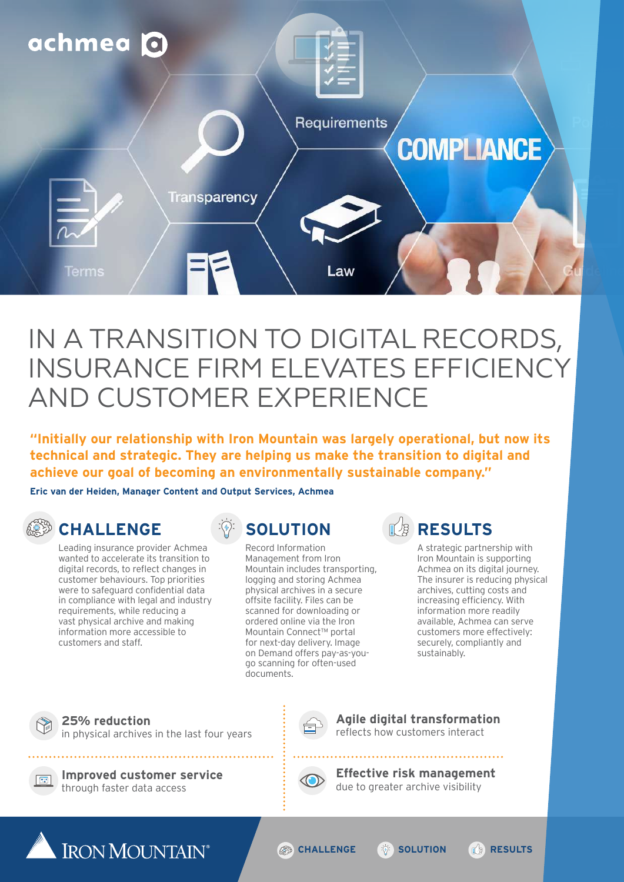

# IN A TRANSITION TO DIGITAL RECORDS, INSURANCE FIRM ELEVATES EFFICIENCY AND CUSTOMER EXPERIENCE

**"Initially our relationship with Iron Mountain was largely operational, but now its technical and strategic. They are helping us make the transition to digital and achieve our goal of becoming an environmentally sustainable company."**

**Eric van der Heiden, Manager Content and Output Services, Achmea**

#### **②③ CHALLENGE**

Leading insurance provider Achmea wanted to accelerate its transition to digital records, to reflect changes in customer behaviours. Top priorities were to safeguard confidential data in compliance with legal and industry requirements, while reducing a vast physical archive and making information more accessible to customers and staff.

## **SOLUTION**

Record Information Management from Iron Mountain includes transporting, logging and storing Achmea physical archives in a secure offsite facility. Files can be scanned for downloading or ordered online via the Iron Mountain Connect™ portal for next-day delivery. Image on Demand offers pay-as-yougo scanning for often-used documents.

## **B** RESULTS

A strategic partnership with Iron Mountain is supporting Achmea on its digital journey. The insurer is reducing physical archives, cutting costs and increasing efficiency. With information more readily available, Achmea can serve customers more effectively: securely, compliantly and sustainably.

#### **25% reduction**  in physical archives in the last four years

**Improved customer service**  through faster data access

**Agile digital transformation**  reflects how customers interact

. . . . . . . . . . . . . . . . . . . .



**Effective risk management**  due to greater archive visibility



**CHALLENGE <b><b>C** SOLUTION **RESULTS**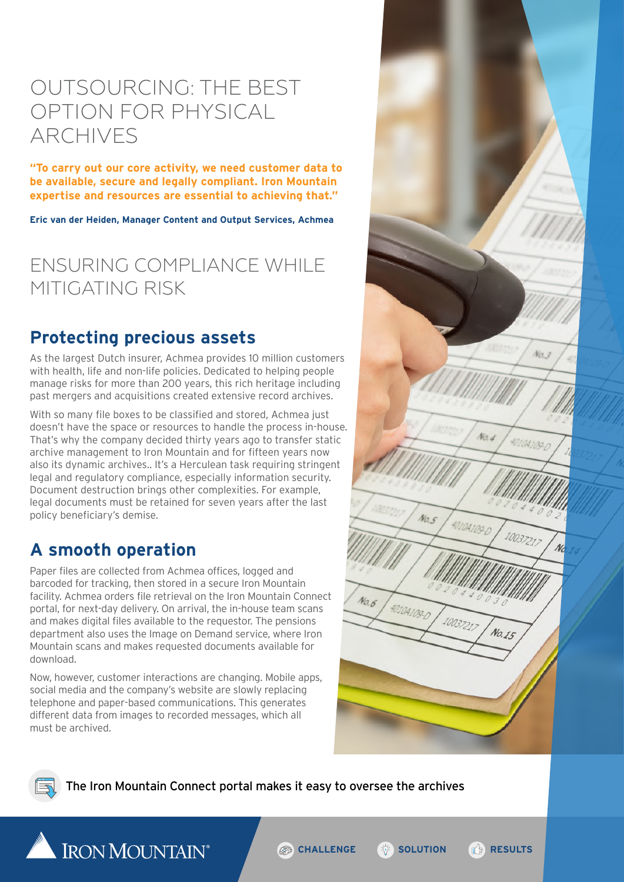## OUTSOURCING: THE BEST OPTION FOR PHYSICAL ARCHIVES

**"To carry out our core activity, we need customer data to be available, secure and legally compliant. Iron Mountain expertise and resources are essential to achieving that."**

**Eric van der Heiden, Manager Content and Output Services, Achmea**

## ENSURING COMPLIANCE WHILE MITIGATING RISK

#### **Protecting precious assets**

As the largest Dutch insurer, Achmea provides 10 million customers with health, life and non-life policies. Dedicated to helping people manage risks for more than 200 years, this rich heritage including past mergers and acquisitions created extensive record archives.

With so many file boxes to be classified and stored, Achmea just doesn't have the space or resources to handle the process in-house. That's why the company decided thirty years ago to transfer static archive management to Iron Mountain and for fifteen years now also its dynamic archives.. It's a Herculean task requiring stringent legal and regulatory compliance, especially information security. Document destruction brings other complexities. For example, legal documents must be retained for seven years after the last policy beneficiary's demise.

### **A smooth operation**

Paper files are collected from Achmea offices, logged and barcoded for tracking, then stored in a secure Iron Mountain facility. Achmea orders file retrieval on the Iron Mountain Connect portal, for next-day delivery. On arrival, the in-house team scans and makes digital files available to the requestor. The pensions department also uses the Image on Demand service, where Iron Mountain scans and makes requested documents available for download.

Now, however, customer interactions are changing. Mobile apps, social media and the company's website are slowly replacing telephone and paper-based communications. This generates different data from images to recorded messages, which all must be archived.

 $\overline{\phantom{a}}$  IRON MOUNTAIN®





The Iron Mountain Connect portal makes it easy to oversee the archives

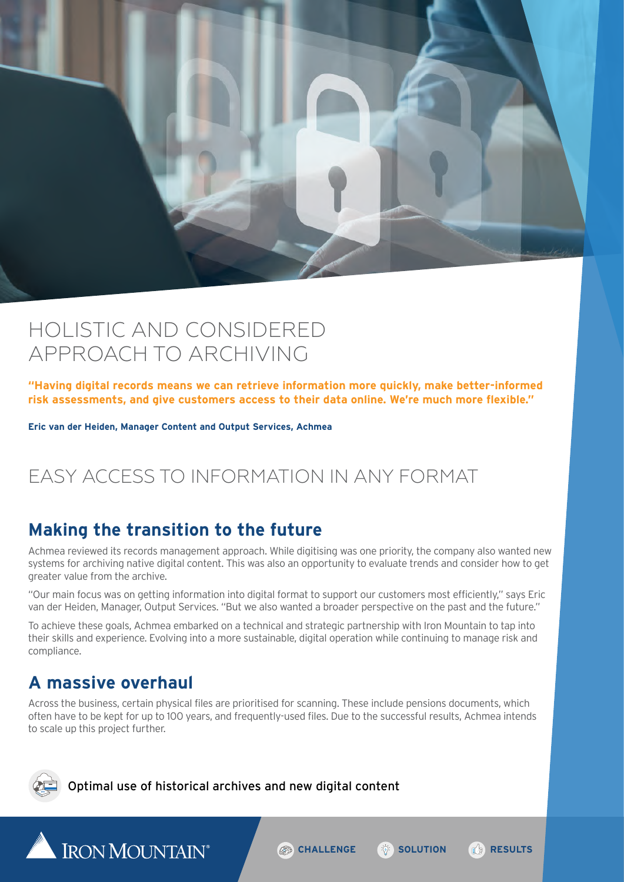

## HOLISTIC AND CONSIDERED APPROACH TO ARCHIVING

**"Having digital records means we can retrieve information more quickly, make better-informed risk assessments, and give customers access to their data online. We're much more flexible."**

**Eric van der Heiden, Manager Content and Output Services, Achmea**

## EASY ACCESS TO INFORMATION IN ANY FORMAT

#### **Making the transition to the future**

Achmea reviewed its records management approach. While digitising was one priority, the company also wanted new systems for archiving native digital content. This was also an opportunity to evaluate trends and consider how to get greater value from the archive.

"Our main focus was on getting information into digital format to support our customers most efficiently," says Eric van der Heiden, Manager, Output Services. "But we also wanted a broader perspective on the past and the future."

To achieve these goals, Achmea embarked on a technical and strategic partnership with Iron Mountain to tap into their skills and experience. Evolving into a more sustainable, digital operation while continuing to manage risk and compliance.

#### **A massive overhaul**

IRON MOUNTAIN®

Across the business, certain physical files are prioritised for scanning. These include pensions documents, which often have to be kept for up to 100 years, and frequently-used files. Due to the successful results, Achmea intends to scale up this project further.



#### Optimal use of historical archives and new digital content

**CHALLENGE <b>C** SOLUTION *RESULTS*